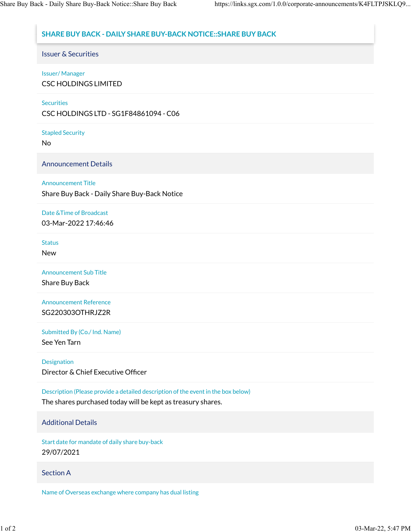# **SHARE BUY BACK - DAILY SHARE BUY-BACK NOTICE::SHARE BUY BACK**

## Issuer & Securities

### Issuer/ Manager

CSC HOLDINGS LIMITED

### **Securities**

CSC HOLDINGS LTD - SG1F84861094 - C06

# Stapled Security

No

Announcement Details

## Announcement Title

Share Buy Back - Daily Share Buy-Back Notice

# Date &Time of Broadcast

03-Mar-2022 17:46:46

#### **Status**

New

Announcement Sub Title

Share Buy Back

Announcement Reference SG220303OTHRJZ2R

Submitted By (Co./ Ind. Name)

See Yen Tarn

### Designation

Director & Chief Executive Officer

Description (Please provide a detailed description of the event in the box below)

The shares purchased today will be kept as treasury shares.

### Additional Details

Start date for mandate of daily share buy-back 29/07/2021

### Section A

Name of Overseas exchange where company has dual listing